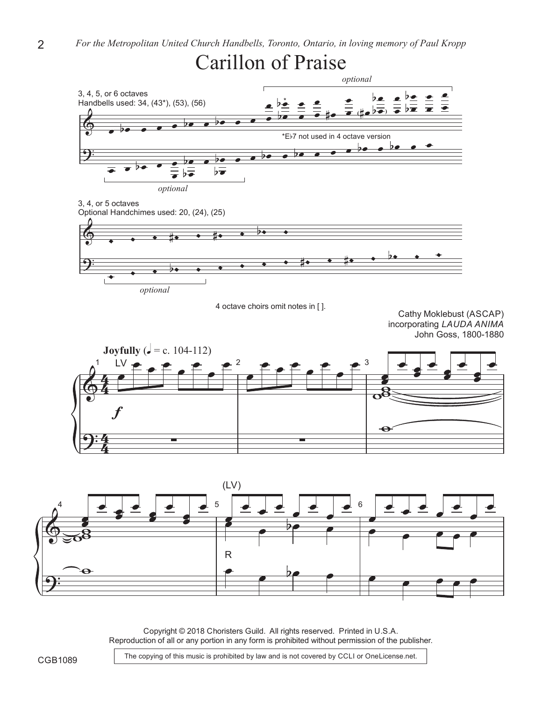

Copyright © 2018 Choristers Guild. All rights reserved. Printed in U.S.A. Reproduction of all or any portion in any form is prohibited without permission of the publisher.

The copying of this music is prohibited by law and is not covered by CCLI or OneLicense.net.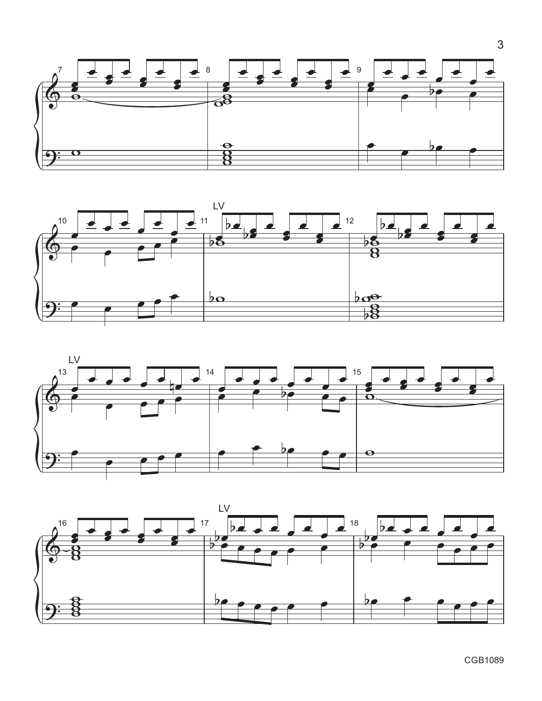







CGB1089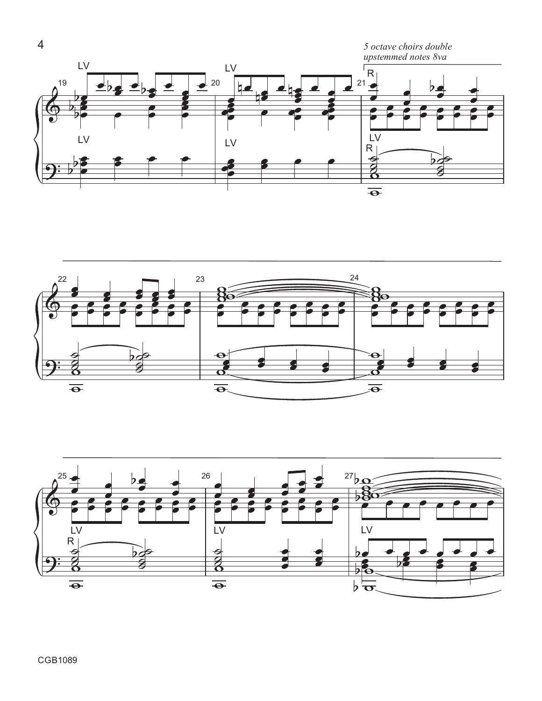



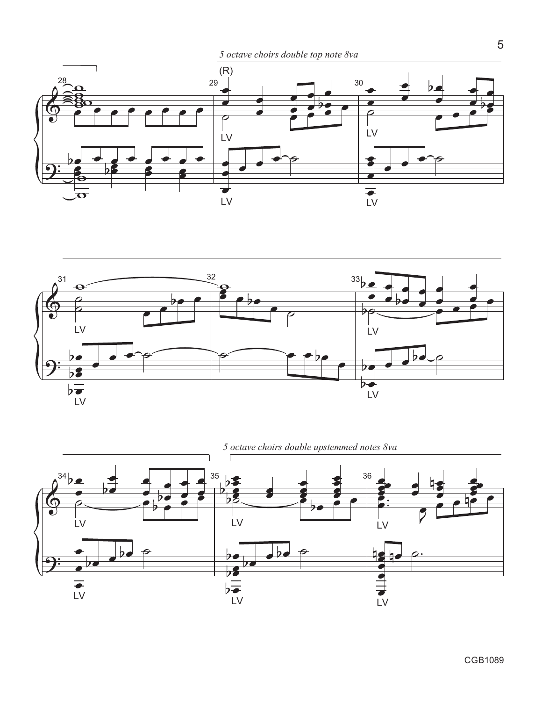





CGB1089